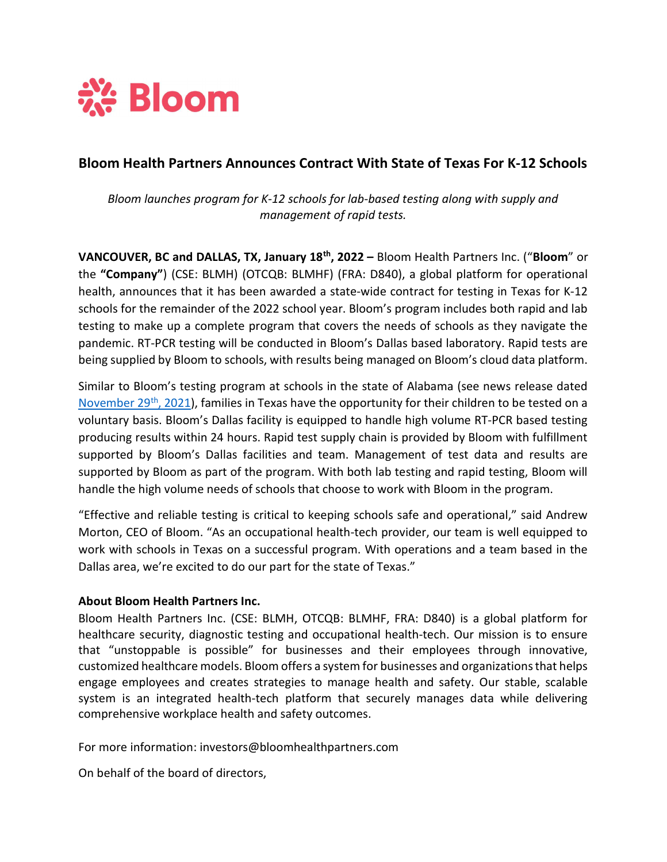

# Bloom Health Partners Announces Contract With State of Texas For K-12 Schools

Bloom launches program for K-12 schools for lab-based testing along with supply and management of rapid tests.

VANCOUVER, BC and DALLAS, TX, January 18<sup>th</sup>, 2022 – Bloom Health Partners Inc. ("Bloom" or the "Company") (CSE: BLMH) (OTCQB: BLMHF) (FRA: D840), a global platform for operational health, announces that it has been awarded a state-wide contract for testing in Texas for K-12 schools for the remainder of the 2022 school year. Bloom's program includes both rapid and lab testing to make up a complete program that covers the needs of schools as they navigate the pandemic. RT-PCR testing will be conducted in Bloom's Dallas based laboratory. Rapid tests are being supplied by Bloom to schools, with results being managed on Bloom's cloud data platform.

Similar to Bloom's testing program at schools in the state of Alabama (see news release dated November 29<sup>th</sup>, 2021), families in Texas have the opportunity for their children to be tested on a voluntary basis. Bloom's Dallas facility is equipped to handle high volume RT-PCR based testing producing results within 24 hours. Rapid test supply chain is provided by Bloom with fulfillment supported by Bloom's Dallas facilities and team. Management of test data and results are supported by Bloom as part of the program. With both lab testing and rapid testing, Bloom will handle the high volume needs of schools that choose to work with Bloom in the program.

"Effective and reliable testing is critical to keeping schools safe and operational," said Andrew Morton, CEO of Bloom. "As an occupational health-tech provider, our team is well equipped to work with schools in Texas on a successful program. With operations and a team based in the Dallas area, we're excited to do our part for the state of Texas."

# About Bloom Health Partners Inc.

Bloom Health Partners Inc. (CSE: BLMH, OTCQB: BLMHF, FRA: D840) is a global platform for healthcare security, diagnostic testing and occupational health-tech. Our mission is to ensure that "unstoppable is possible" for businesses and their employees through innovative, customized healthcare models. Bloom offers a system for businesses and organizations that helps engage employees and creates strategies to manage health and safety. Our stable, scalable system is an integrated health-tech platform that securely manages data while delivering comprehensive workplace health and safety outcomes.

For more information: investors@bloomhealthpartners.com

On behalf of the board of directors,